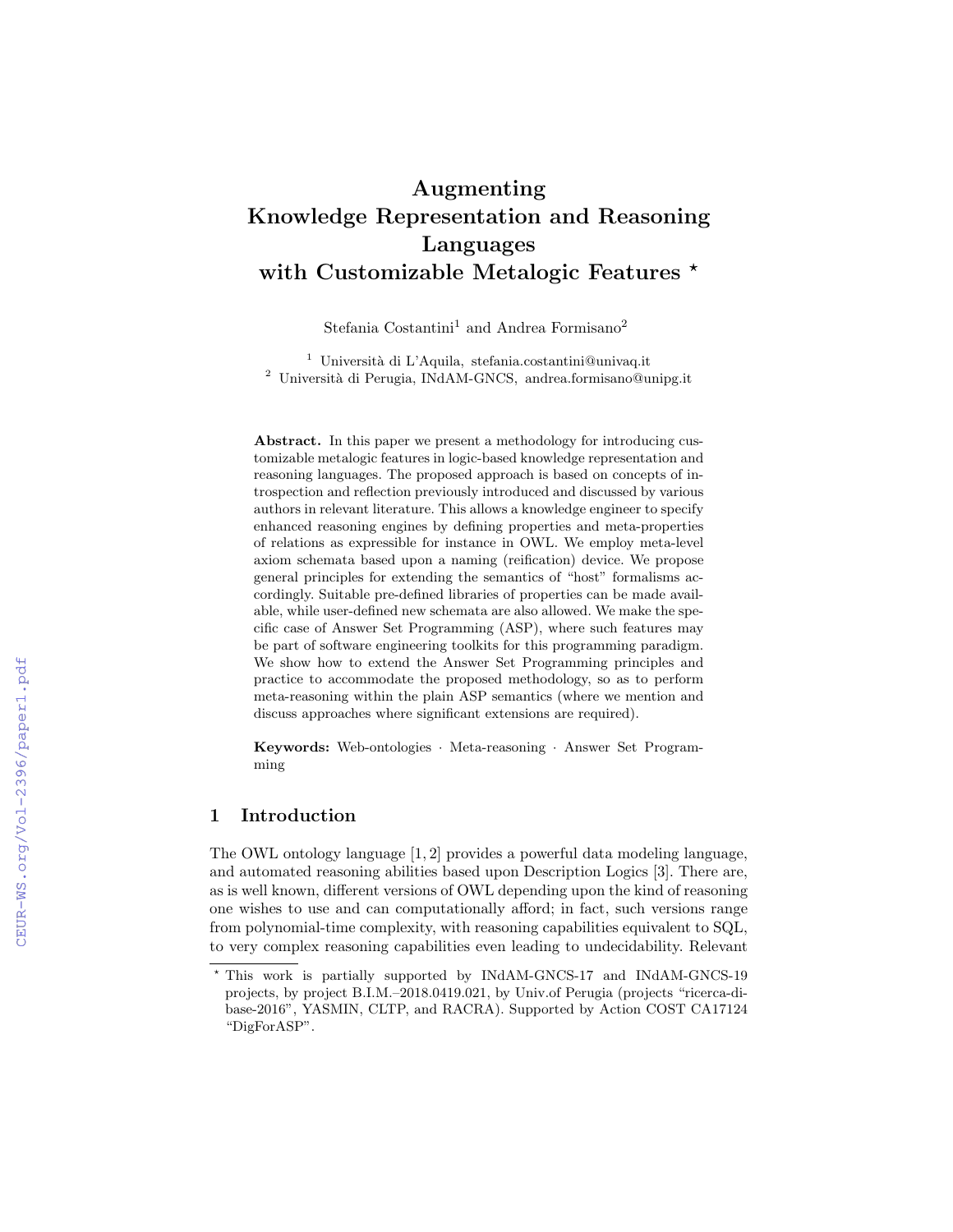# Augmenting Knowledge Representation and Reasoning Languages with Customizable Metalogic Features \*

Stefania Costantini<sup>1</sup> and Andrea Formisano<sup>2</sup>

<sup>1</sup> Università di L'Aquila, stefania.costantini@univaq.it <sup>2</sup> Università di Perugia, INdAM-GNCS, andrea.formisano@unipg.it

Abstract. In this paper we present a methodology for introducing customizable metalogic features in logic-based knowledge representation and reasoning languages. The proposed approach is based on concepts of introspection and reflection previously introduced and discussed by various authors in relevant literature. This allows a knowledge engineer to specify enhanced reasoning engines by defining properties and meta-properties of relations as expressible for instance in OWL. We employ meta-level axiom schemata based upon a naming (reification) device. We propose general principles for extending the semantics of "host" formalisms accordingly. Suitable pre-defined libraries of properties can be made available, while user-defined new schemata are also allowed. We make the specific case of Answer Set Programming (ASP), where such features may be part of software engineering toolkits for this programming paradigm. We show how to extend the Answer Set Programming principles and practice to accommodate the proposed methodology, so as to perform meta-reasoning within the plain ASP semantics (where we mention and discuss approaches where significant extensions are required).

Keywords: Web-ontologies · Meta-reasoning · Answer Set Programming

# 1 Introduction

The OWL ontology language [1, 2] provides a powerful data modeling language, and automated reasoning abilities based upon Description Logics [3]. There are, as is well known, different versions of OWL depending upon the kind of reasoning one wishes to use and can computationally afford; in fact, such versions range from polynomial-time complexity, with reasoning capabilities equivalent to SQL, to very complex reasoning capabilities even leading to undecidability. Relevant

<sup>?</sup> This work is partially supported by INdAM-GNCS-17 and INdAM-GNCS-19 projects, by project B.I.M.–2018.0419.021, by Univ.of Perugia (projects "ricerca-dibase-2016", YASMIN, CLTP, and RACRA). Supported by Action COST CA17124 "DigForASP".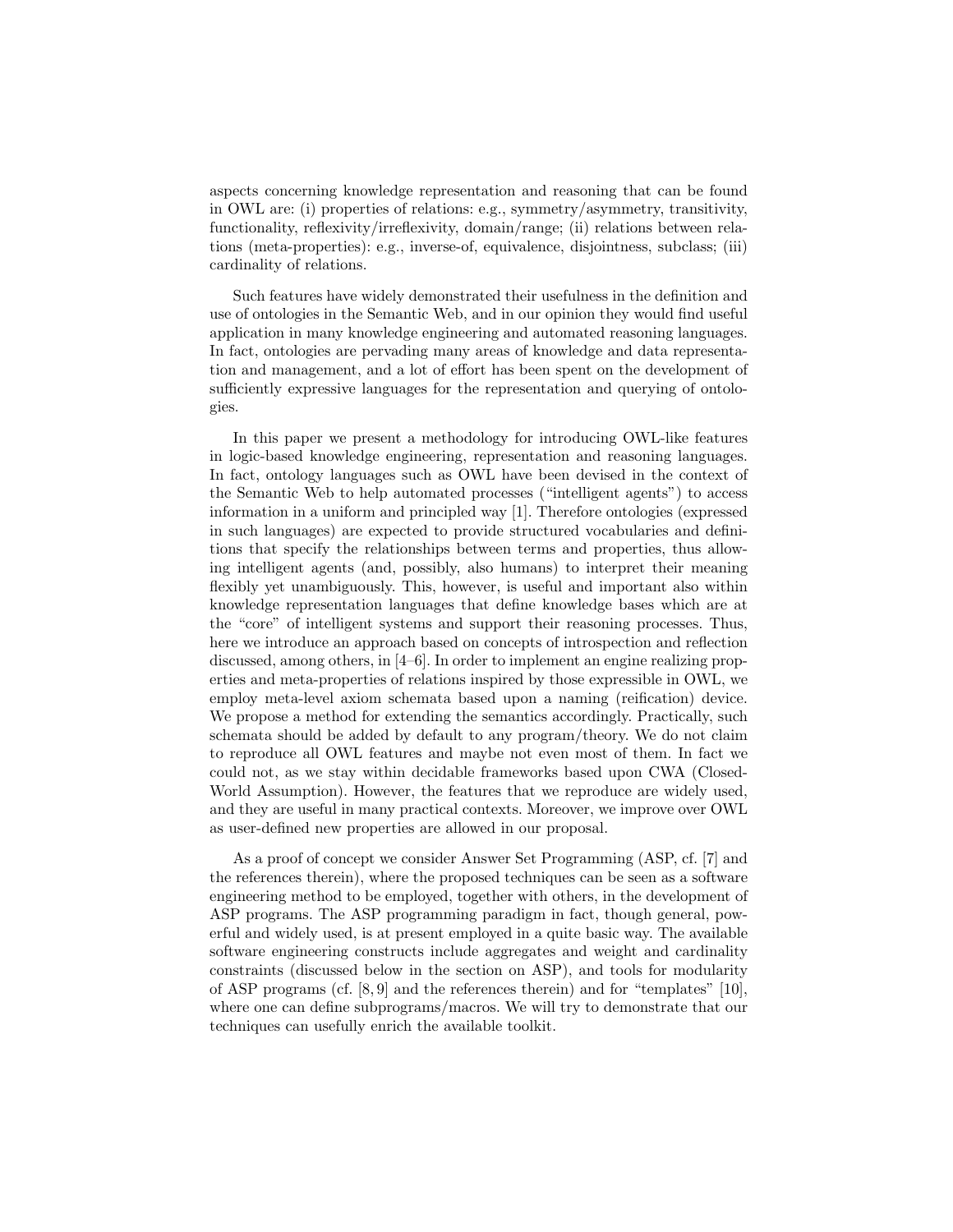aspects concerning knowledge representation and reasoning that can be found in OWL are: (i) properties of relations: e.g., symmetry/asymmetry, transitivity, functionality, reflexivity/irreflexivity, domain/range; (ii) relations between relations (meta-properties): e.g., inverse-of, equivalence, disjointness, subclass; (iii) cardinality of relations.

Such features have widely demonstrated their usefulness in the definition and use of ontologies in the Semantic Web, and in our opinion they would find useful application in many knowledge engineering and automated reasoning languages. In fact, ontologies are pervading many areas of knowledge and data representation and management, and a lot of effort has been spent on the development of sufficiently expressive languages for the representation and querying of ontologies.

In this paper we present a methodology for introducing OWL-like features in logic-based knowledge engineering, representation and reasoning languages. In fact, ontology languages such as OWL have been devised in the context of the Semantic Web to help automated processes ("intelligent agents") to access information in a uniform and principled way [1]. Therefore ontologies (expressed in such languages) are expected to provide structured vocabularies and definitions that specify the relationships between terms and properties, thus allowing intelligent agents (and, possibly, also humans) to interpret their meaning flexibly yet unambiguously. This, however, is useful and important also within knowledge representation languages that define knowledge bases which are at the "core" of intelligent systems and support their reasoning processes. Thus, here we introduce an approach based on concepts of introspection and reflection discussed, among others, in [4–6]. In order to implement an engine realizing properties and meta-properties of relations inspired by those expressible in OWL, we employ meta-level axiom schemata based upon a naming (reification) device. We propose a method for extending the semantics accordingly. Practically, such schemata should be added by default to any program/theory. We do not claim to reproduce all OWL features and maybe not even most of them. In fact we could not, as we stay within decidable frameworks based upon CWA (Closed-World Assumption). However, the features that we reproduce are widely used, and they are useful in many practical contexts. Moreover, we improve over OWL as user-defined new properties are allowed in our proposal.

As a proof of concept we consider Answer Set Programming (ASP, cf. [7] and the references therein), where the proposed techniques can be seen as a software engineering method to be employed, together with others, in the development of ASP programs. The ASP programming paradigm in fact, though general, powerful and widely used, is at present employed in a quite basic way. The available software engineering constructs include aggregates and weight and cardinality constraints (discussed below in the section on ASP), and tools for modularity of ASP programs (cf.  $[8, 9]$  and the references therein) and for "templates"  $[10]$ , where one can define subprograms/macros. We will try to demonstrate that our techniques can usefully enrich the available toolkit.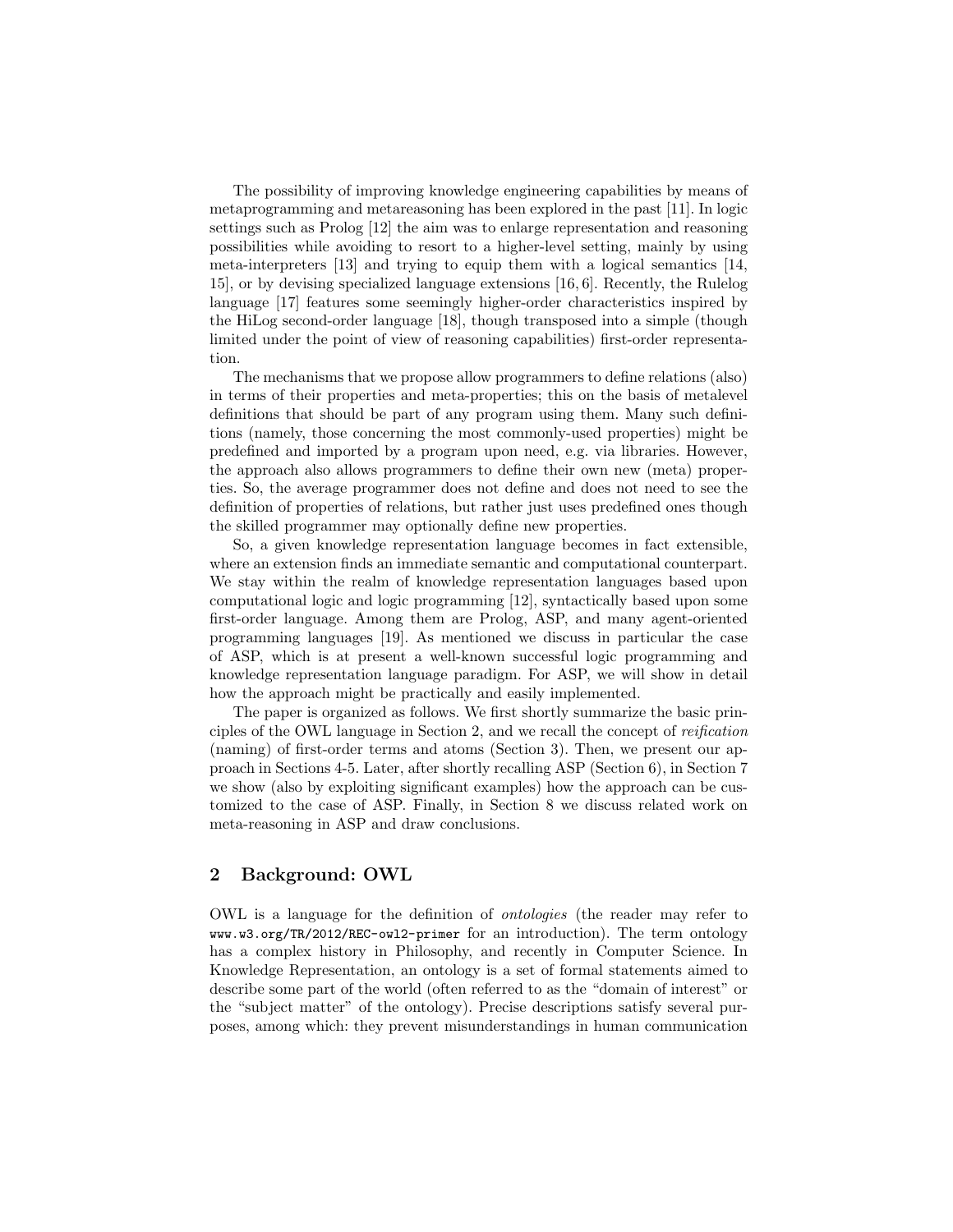The possibility of improving knowledge engineering capabilities by means of metaprogramming and metareasoning has been explored in the past [11]. In logic settings such as Prolog [12] the aim was to enlarge representation and reasoning possibilities while avoiding to resort to a higher-level setting, mainly by using meta-interpreters [13] and trying to equip them with a logical semantics [14, 15], or by devising specialized language extensions [16, 6]. Recently, the Rulelog language [17] features some seemingly higher-order characteristics inspired by the HiLog second-order language [18], though transposed into a simple (though limited under the point of view of reasoning capabilities) first-order representation.

The mechanisms that we propose allow programmers to define relations (also) in terms of their properties and meta-properties; this on the basis of metalevel definitions that should be part of any program using them. Many such definitions (namely, those concerning the most commonly-used properties) might be predefined and imported by a program upon need, e.g. via libraries. However, the approach also allows programmers to define their own new (meta) properties. So, the average programmer does not define and does not need to see the definition of properties of relations, but rather just uses predefined ones though the skilled programmer may optionally define new properties.

So, a given knowledge representation language becomes in fact extensible, where an extension finds an immediate semantic and computational counterpart. We stay within the realm of knowledge representation languages based upon computational logic and logic programming [12], syntactically based upon some first-order language. Among them are Prolog, ASP, and many agent-oriented programming languages [19]. As mentioned we discuss in particular the case of ASP, which is at present a well-known successful logic programming and knowledge representation language paradigm. For ASP, we will show in detail how the approach might be practically and easily implemented.

The paper is organized as follows. We first shortly summarize the basic principles of the OWL language in Section 2, and we recall the concept of reification (naming) of first-order terms and atoms (Section 3). Then, we present our approach in Sections 4-5. Later, after shortly recalling ASP (Section 6), in Section 7 we show (also by exploiting significant examples) how the approach can be customized to the case of ASP. Finally, in Section 8 we discuss related work on meta-reasoning in ASP and draw conclusions.

# 2 Background: OWL

OWL is a language for the definition of ontologies (the reader may refer to www.w3.org/TR/2012/REC-owl2-primer for an introduction). The term ontology has a complex history in Philosophy, and recently in Computer Science. In Knowledge Representation, an ontology is a set of formal statements aimed to describe some part of the world (often referred to as the "domain of interest" or the "subject matter" of the ontology). Precise descriptions satisfy several purposes, among which: they prevent misunderstandings in human communication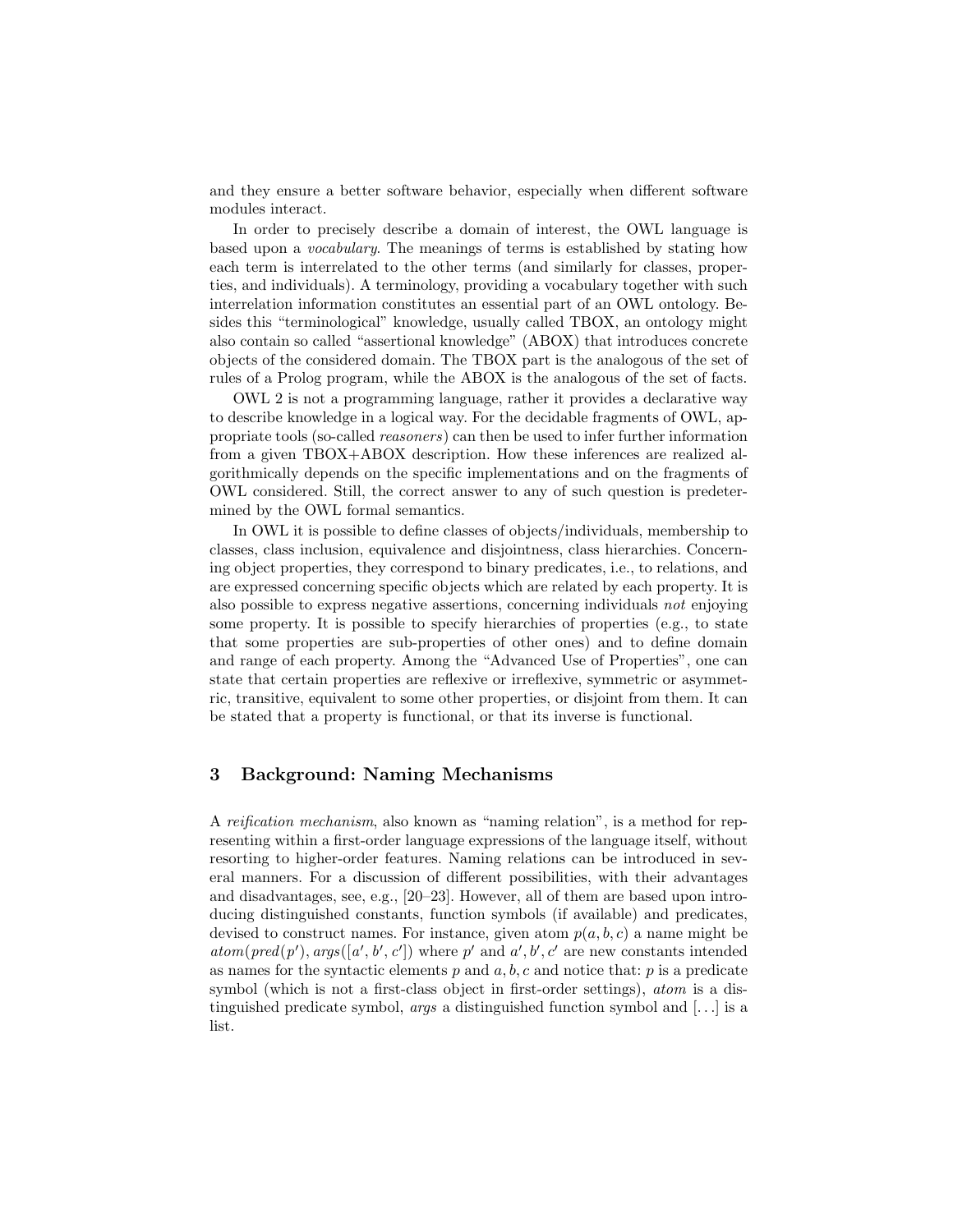and they ensure a better software behavior, especially when different software modules interact.

In order to precisely describe a domain of interest, the OWL language is based upon a vocabulary. The meanings of terms is established by stating how each term is interrelated to the other terms (and similarly for classes, properties, and individuals). A terminology, providing a vocabulary together with such interrelation information constitutes an essential part of an OWL ontology. Besides this "terminological" knowledge, usually called TBOX, an ontology might also contain so called "assertional knowledge" (ABOX) that introduces concrete objects of the considered domain. The TBOX part is the analogous of the set of rules of a Prolog program, while the ABOX is the analogous of the set of facts.

OWL 2 is not a programming language, rather it provides a declarative way to describe knowledge in a logical way. For the decidable fragments of OWL, appropriate tools (so-called reasoners) can then be used to infer further information from a given TBOX+ABOX description. How these inferences are realized algorithmically depends on the specific implementations and on the fragments of OWL considered. Still, the correct answer to any of such question is predetermined by the OWL formal semantics.

In OWL it is possible to define classes of objects/individuals, membership to classes, class inclusion, equivalence and disjointness, class hierarchies. Concerning object properties, they correspond to binary predicates, i.e., to relations, and are expressed concerning specific objects which are related by each property. It is also possible to express negative assertions, concerning individuals not enjoying some property. It is possible to specify hierarchies of properties (e.g., to state that some properties are sub-properties of other ones) and to define domain and range of each property. Among the "Advanced Use of Properties", one can state that certain properties are reflexive or irreflexive, symmetric or asymmetric, transitive, equivalent to some other properties, or disjoint from them. It can be stated that a property is functional, or that its inverse is functional.

## 3 Background: Naming Mechanisms

A reification mechanism, also known as "naming relation", is a method for representing within a first-order language expressions of the language itself, without resorting to higher-order features. Naming relations can be introduced in several manners. For a discussion of different possibilities, with their advantages and disadvantages, see, e.g., [20–23]. However, all of them are based upon introducing distinguished constants, function symbols (if available) and predicates, devised to construct names. For instance, given atom  $p(a, b, c)$  a name might be  $atom(pred(p'), args([a', b', c'])$  where p' and a', b', c' are new constants intended as names for the syntactic elements  $p$  and  $a, b, c$  and notice that:  $p$  is a predicate symbol (which is not a first-class object in first-order settings), atom is a distinguished predicate symbol, *args* a distinguished function symbol and  $[\dots]$  is a list.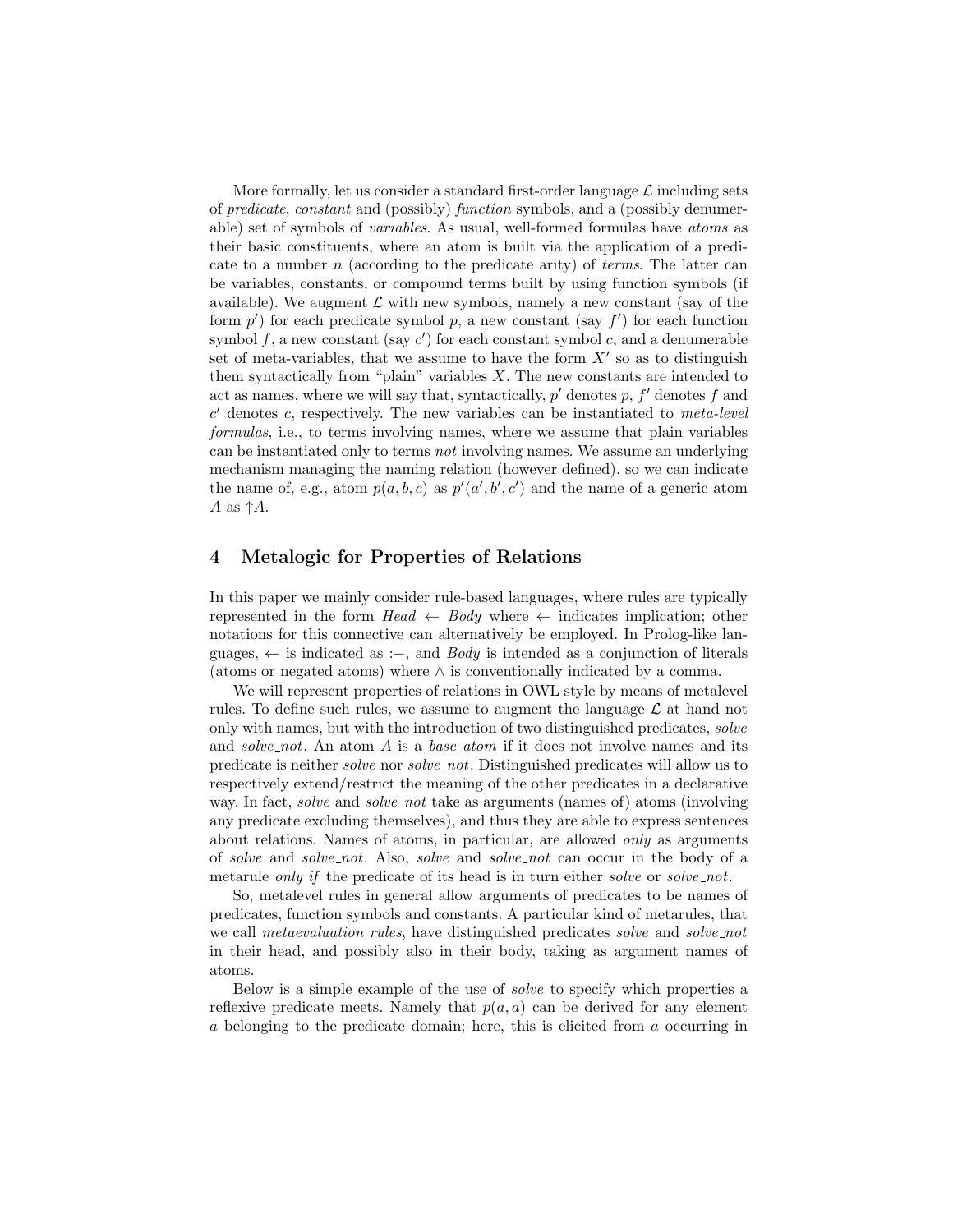More formally, let us consider a standard first-order language  $\mathcal L$  including sets of predicate, constant and (possibly) function symbols, and a (possibly denumerable) set of symbols of variables. As usual, well-formed formulas have atoms as their basic constituents, where an atom is built via the application of a predicate to a number  $n$  (according to the predicate arity) of *terms*. The latter can be variables, constants, or compound terms built by using function symbols (if available). We augment  $\mathcal L$  with new symbols, namely a new constant (say of the form  $p'$ ) for each predicate symbol p, a new constant (say  $f'$ ) for each function symbol  $f$ , a new constant (say  $c'$ ) for each constant symbol  $c$ , and a denumerable set of meta-variables, that we assume to have the form  $X'$  so as to distinguish them syntactically from "plain" variables  $X$ . The new constants are intended to act as names, where we will say that, syntactically,  $p'$  denotes  $p$ ,  $f'$  denotes  $f$  and  $c'$  denotes c, respectively. The new variables can be instantiated to meta-level formulas, i.e., to terms involving names, where we assume that plain variables can be instantiated only to terms not involving names. We assume an underlying mechanism managing the naming relation (however defined), so we can indicate the name of, e.g., atom  $p(a, b, c)$  as  $p'(a', b', c')$  and the name of a generic atom A as  $\uparrow A$ .

## 4 Metalogic for Properties of Relations

In this paper we mainly consider rule-based languages, where rules are typically represented in the form  $Head \leftarrow Body$  where  $\leftarrow$  indicates implication; other notations for this connective can alternatively be employed. In Prolog-like languages,  $\leftarrow$  is indicated as :–, and *Body* is intended as a conjunction of literals (atoms or negated atoms) where ∧ is conventionally indicated by a comma.

We will represent properties of relations in OWL style by means of metalevel rules. To define such rules, we assume to augment the language  $\mathcal L$  at hand not only with names, but with the introduction of two distinguished predicates, solve and solve not. An atom A is a base atom if it does not involve names and its predicate is neither solve nor solve not. Distinguished predicates will allow us to respectively extend/restrict the meaning of the other predicates in a declarative way. In fact, *solve* and *solve\_not* take as arguments (names of) atoms (involving any predicate excluding themselves), and thus they are able to express sentences about relations. Names of atoms, in particular, are allowed only as arguments of solve and solve not. Also, solve and solve not can occur in the body of a metarule *only if* the predicate of its head is in turn either *solve* or *solve\_not*.

So, metalevel rules in general allow arguments of predicates to be names of predicates, function symbols and constants. A particular kind of metarules, that we call *metaevaluation rules*, have distinguished predicates *solve* and *solve\_not* in their head, and possibly also in their body, taking as argument names of atoms.

Below is a simple example of the use of solve to specify which properties a reflexive predicate meets. Namely that  $p(a, a)$  can be derived for any element a belonging to the predicate domain; here, this is elicited from a occurring in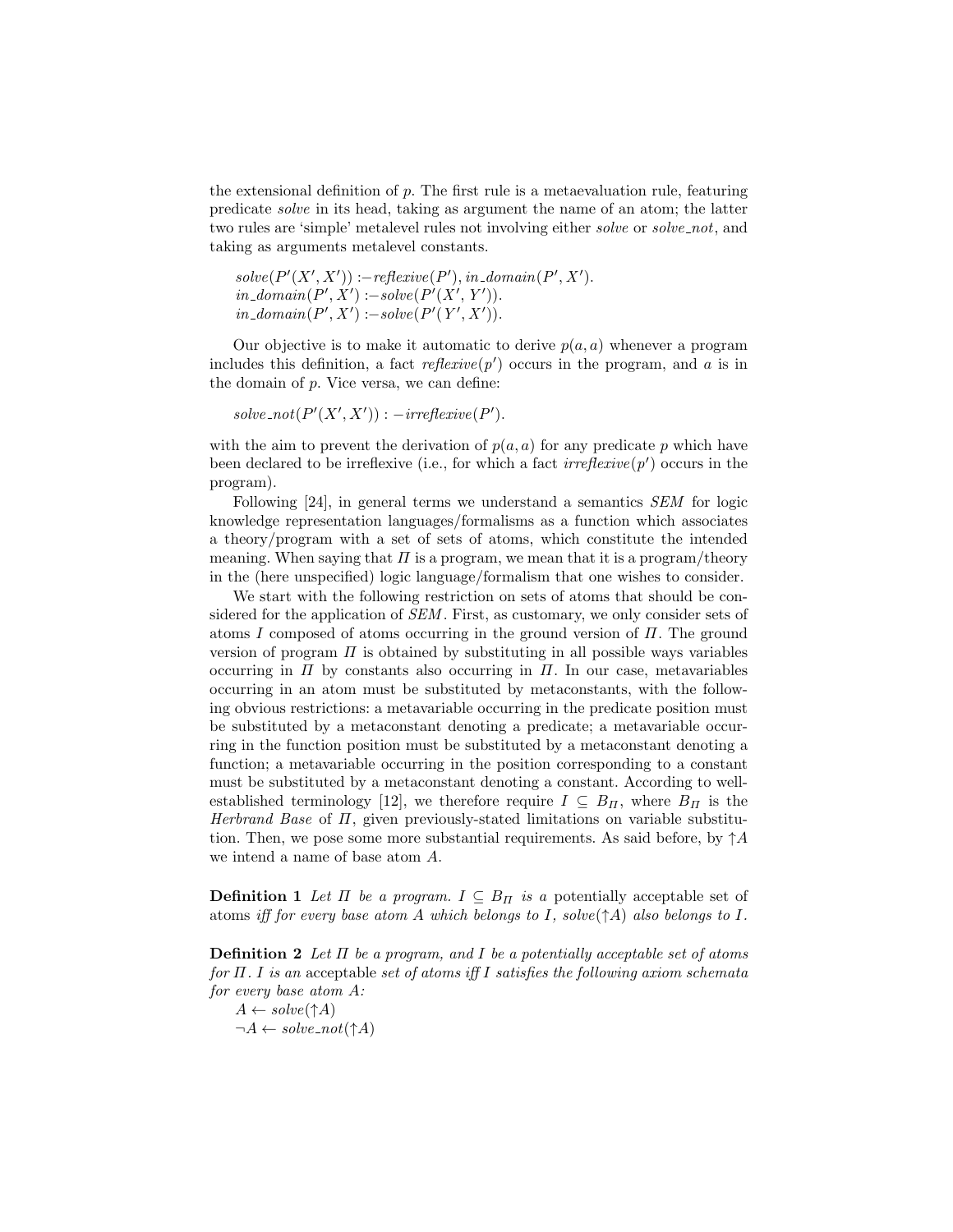the extensional definition of p. The first rule is a metaevaluation rule, featuring predicate solve in its head, taking as argument the name of an atom; the latter two rules are 'simple' metalevel rules not involving either *solve* or *solve\_not*, and taking as arguments metalevel constants.

```
solve(P'(X', X')) := reflexive(P'), in\_domain(P', X').in\_domain(P', X') := solve(P'(X', Y')).in\_domain(P', X') := solve(P'(Y', X')).
```
Our objective is to make it automatic to derive  $p(a, a)$  whenever a program includes this definition, a fact  $reflexive(p')$  occurs in the program, and a is in the domain of  $p$ . Vice versa, we can define:

 $solve\_not(P'(X', X'))$ :  $-irreflexive(P')$ .

with the aim to prevent the derivation of  $p(a, a)$  for any predicate p which have been declared to be irreflexive (i.e., for which a fact  $irreflexive(p')$  occurs in the program).

Following [24], in general terms we understand a semantics SEM for logic knowledge representation languages/formalisms as a function which associates a theory/program with a set of sets of atoms, which constitute the intended meaning. When saying that  $\Pi$  is a program, we mean that it is a program/theory in the (here unspecified) logic language/formalism that one wishes to consider.

We start with the following restriction on sets of atoms that should be considered for the application of SEM. First, as customary, we only consider sets of atoms I composed of atoms occurring in the ground version of  $\Pi$ . The ground version of program  $\Pi$  is obtained by substituting in all possible ways variables occurring in  $\Pi$  by constants also occurring in  $\Pi$ . In our case, metavariables occurring in an atom must be substituted by metaconstants, with the following obvious restrictions: a metavariable occurring in the predicate position must be substituted by a metaconstant denoting a predicate; a metavariable occurring in the function position must be substituted by a metaconstant denoting a function; a metavariable occurring in the position corresponding to a constant must be substituted by a metaconstant denoting a constant. According to wellestablished terminology [12], we therefore require  $I \subseteq B_{\Pi}$ , where  $B_{\Pi}$  is the Herbrand Base of  $\Pi$ , given previously-stated limitations on variable substitution. Then, we pose some more substantial requirements. As said before, by  $\uparrow A$ we intend a name of base atom A.

**Definition 1** Let  $\Pi$  be a program.  $I \subseteq B_{\Pi}$  is a potentially acceptable set of atoms iff for every base atom A which belongs to I, solve( $\uparrow$ A) also belongs to I.

**Definition 2** Let  $\Pi$  be a program, and  $I$  be a potentially acceptable set of atoms for  $\Pi$ . I is an acceptable set of atoms iff I satisfies the following axiom schemata for every base atom A:

 $A \leftarrow solve(\uparrow A)$  $\neg A \leftarrow solve\_not(\uparrow A)$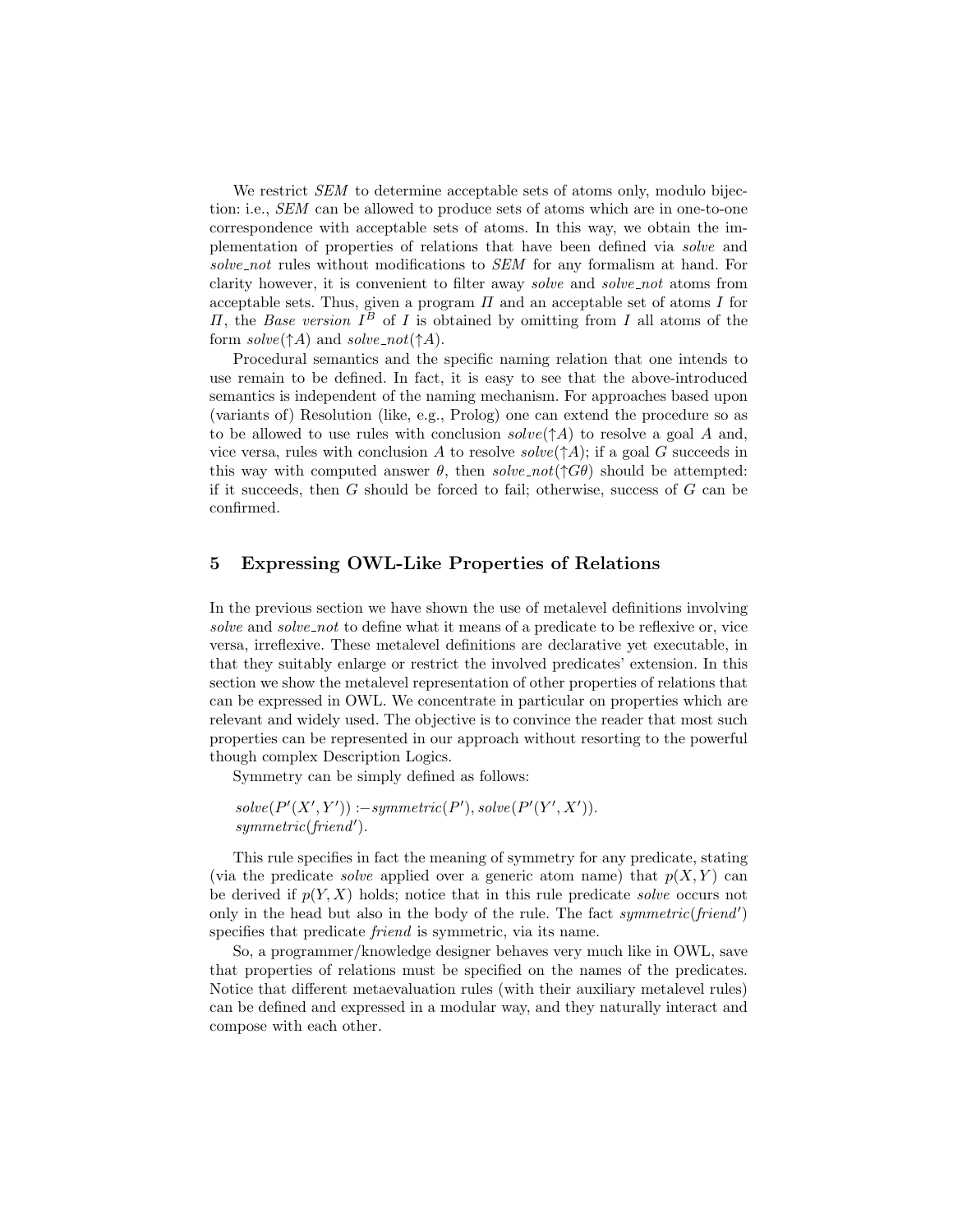We restrict *SEM* to determine acceptable sets of atoms only, modulo bijection: i.e., SEM can be allowed to produce sets of atoms which are in one-to-one correspondence with acceptable sets of atoms. In this way, we obtain the implementation of properties of relations that have been defined via solve and solve\_not rules without modifications to SEM for any formalism at hand. For clarity however, it is convenient to filter away *solve* and *solve\_not* atoms from acceptable sets. Thus, given a program  $\Pi$  and an acceptable set of atoms  $I$  for *II*, the *Base version*  $I^B$  of *I* is obtained by omitting from *I* all atoms of the form  $solve(\uparrow A)$  and  $solve\_not(\uparrow A)$ .

Procedural semantics and the specific naming relation that one intends to use remain to be defined. In fact, it is easy to see that the above-introduced semantics is independent of the naming mechanism. For approaches based upon (variants of) Resolution (like, e.g., Prolog) one can extend the procedure so as to be allowed to use rules with conclusion  $solve(\uparrow A)$  to resolve a goal A and, vice versa, rules with conclusion A to resolve  $solve(\uparrow A)$ ; if a goal G succeeds in this way with computed answer  $\theta$ , then solve\_not( $\uparrow G\theta$ ) should be attempted: if it succeeds, then  $G$  should be forced to fail; otherwise, success of  $G$  can be confirmed.

# 5 Expressing OWL-Like Properties of Relations

In the previous section we have shown the use of metalevel definitions involving solve and solve not to define what it means of a predicate to be reflexive or, vice versa, irreflexive. These metalevel definitions are declarative yet executable, in that they suitably enlarge or restrict the involved predicates' extension. In this section we show the metalevel representation of other properties of relations that can be expressed in OWL. We concentrate in particular on properties which are relevant and widely used. The objective is to convince the reader that most such properties can be represented in our approach without resorting to the powerful though complex Description Logics.

Symmetry can be simply defined as follows:

 $solve(P'(X', Y')) := symmetric(P'), solve(P'(Y', X')).$  $symmetric(friend').$ 

This rule specifies in fact the meaning of symmetry for any predicate, stating (via the predicate *solve* applied over a generic atom name) that  $p(X, Y)$  can be derived if  $p(Y, X)$  holds; notice that in this rule predicate solve occurs not only in the head but also in the body of the rule. The fact symmetric(friend') specifies that predicate *friend* is symmetric, via its name.

So, a programmer/knowledge designer behaves very much like in OWL, save that properties of relations must be specified on the names of the predicates. Notice that different metaevaluation rules (with their auxiliary metalevel rules) can be defined and expressed in a modular way, and they naturally interact and compose with each other.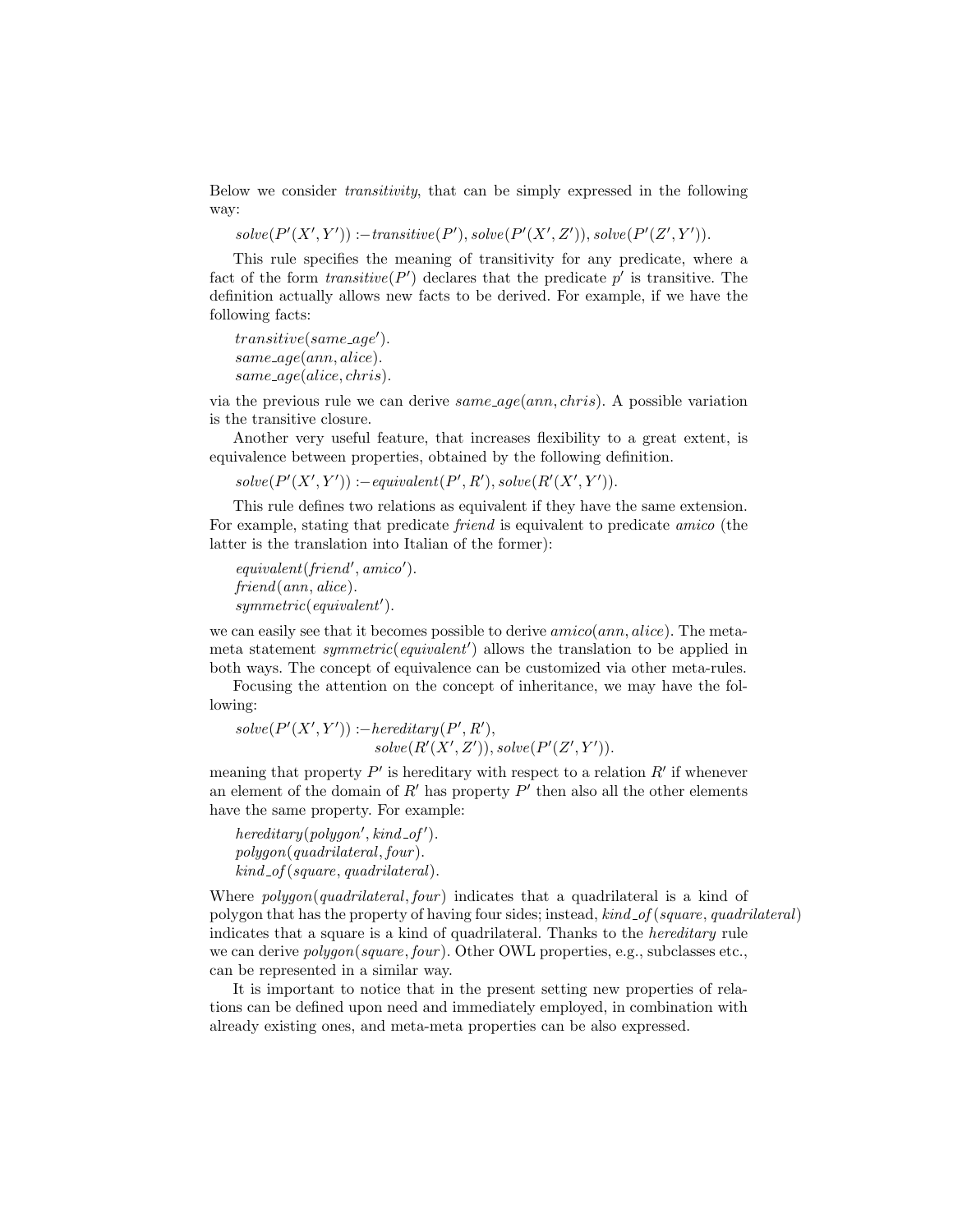Below we consider transitivity, that can be simply expressed in the following way:

 $solve(P'(X', Y')) := transitive(P'), solve(P'(X', Z')), solve(P'(Z', Y')).$ 

This rule specifies the meaning of transitivity for any predicate, where a fact of the form  $transitive(P')$  declares that the predicate  $p'$  is transitive. The definition actually allows new facts to be derived. For example, if we have the following facts:

 $transitive(same\_\_age').$ same age(ann, alice). same age(alice, chris).

via the previous rule we can derive  $same\_\text{age}(ann, Chris)$ . A possible variation is the transitive closure.

Another very useful feature, that increases flexibility to a great extent, is equivalence between properties, obtained by the following definition.

 $solve(P'(X', Y')) := equivalent(P', R'), solve(R'(X', Y')).$ 

This rule defines two relations as equivalent if they have the same extension. For example, stating that predicate friend is equivalent to predicate amico (the latter is the translation into Italian of the former):

 $equivalent(friend', amico').$ friend(ann, alice).  $symmetric (equivalent').$ 

we can easily see that it becomes possible to derive  $amico(ann, alive)$ . The metameta statement  $symmetric$  (equivalent') allows the translation to be applied in both ways. The concept of equivalence can be customized via other meta-rules.

Focusing the attention on the concept of inheritance, we may have the following:

 $solve(P'(X', Y')) := hereditary(P', R'),$  $solve(R'(X', Z')), solve(P'(Z', Y')).$ 

meaning that property  $P'$  is hereditary with respect to a relation  $R'$  if whenever an element of the domain of  $R'$  has property  $P'$  then also all the other elements have the same property. For example:

 $hereditary(polygon', kind_of').$ polygon(quadrilateral, four ).  $kind\_of(square, quadrilateral).$ 

Where  $polygon(quadrilateral, four)$  indicates that a quadrilateral is a kind of polygon that has the property of having four sides; instead,  $kind\_of(square, quadraticral)$ indicates that a square is a kind of quadrilateral. Thanks to the hereditary rule we can derive  $\mathit{polyqon}(\mathit{square}, \mathit{four})$ . Other OWL properties, e.g., subclasses etc., can be represented in a similar way.

It is important to notice that in the present setting new properties of relations can be defined upon need and immediately employed, in combination with already existing ones, and meta-meta properties can be also expressed.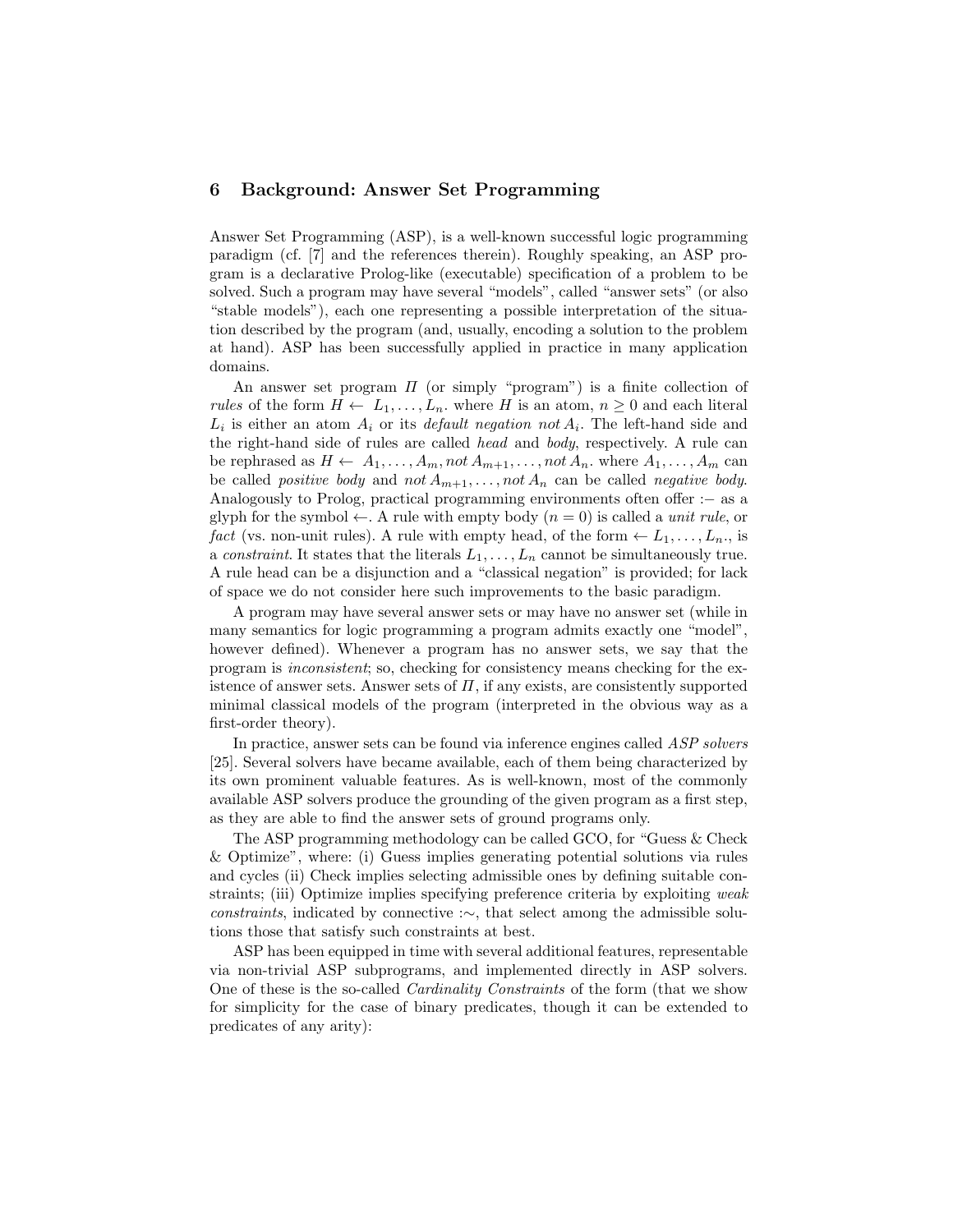## 6 Background: Answer Set Programming

Answer Set Programming (ASP), is a well-known successful logic programming paradigm (cf. [7] and the references therein). Roughly speaking, an ASP program is a declarative Prolog-like (executable) specification of a problem to be solved. Such a program may have several "models", called "answer sets" (or also "stable models"), each one representing a possible interpretation of the situation described by the program (and, usually, encoding a solution to the problem at hand). ASP has been successfully applied in practice in many application domains.

An answer set program  $\Pi$  (or simply "program") is a finite collection of rules of the form  $H \leftarrow L_1, \ldots, L_n$ , where H is an atom,  $n \geq 0$  and each literal  $L_i$  is either an atom  $A_i$  or its *default negation not*  $A_i$ . The left-hand side and the right-hand side of rules are called head and body, respectively. A rule can be rephrased as  $H \leftarrow A_1, \ldots, A_m, not A_{m+1}, \ldots, not A_n$ . where  $A_1, \ldots, A_m$  can be called *positive body* and not  $A_{m+1}, \ldots, not A_n$  can be called *negative body*. Analogously to Prolog, practical programming environments often offer :− as a glyph for the symbol  $\leftarrow$ . A rule with empty body  $(n = 0)$  is called a *unit rule*, or fact (vs. non-unit rules). A rule with empty head, of the form  $\leftarrow L_1, \ldots, L_n$ , is a constraint. It states that the literals  $L_1, \ldots, L_n$  cannot be simultaneously true. A rule head can be a disjunction and a "classical negation" is provided; for lack of space we do not consider here such improvements to the basic paradigm.

A program may have several answer sets or may have no answer set (while in many semantics for logic programming a program admits exactly one "model", however defined). Whenever a program has no answer sets, we say that the program is inconsistent; so, checking for consistency means checking for the existence of answer sets. Answer sets of  $\Pi$ , if any exists, are consistently supported minimal classical models of the program (interpreted in the obvious way as a first-order theory).

In practice, answer sets can be found via inference engines called ASP solvers [25]. Several solvers have became available, each of them being characterized by its own prominent valuable features. As is well-known, most of the commonly available ASP solvers produce the grounding of the given program as a first step, as they are able to find the answer sets of ground programs only.

The ASP programming methodology can be called GCO, for "Guess & Check & Optimize", where: (i) Guess implies generating potential solutions via rules and cycles (ii) Check implies selecting admissible ones by defining suitable constraints; (iii) Optimize implies specifying preference criteria by exploiting weak constraints, indicated by connective :∼, that select among the admissible solutions those that satisfy such constraints at best.

ASP has been equipped in time with several additional features, representable via non-trivial ASP subprograms, and implemented directly in ASP solvers. One of these is the so-called Cardinality Constraints of the form (that we show for simplicity for the case of binary predicates, though it can be extended to predicates of any arity):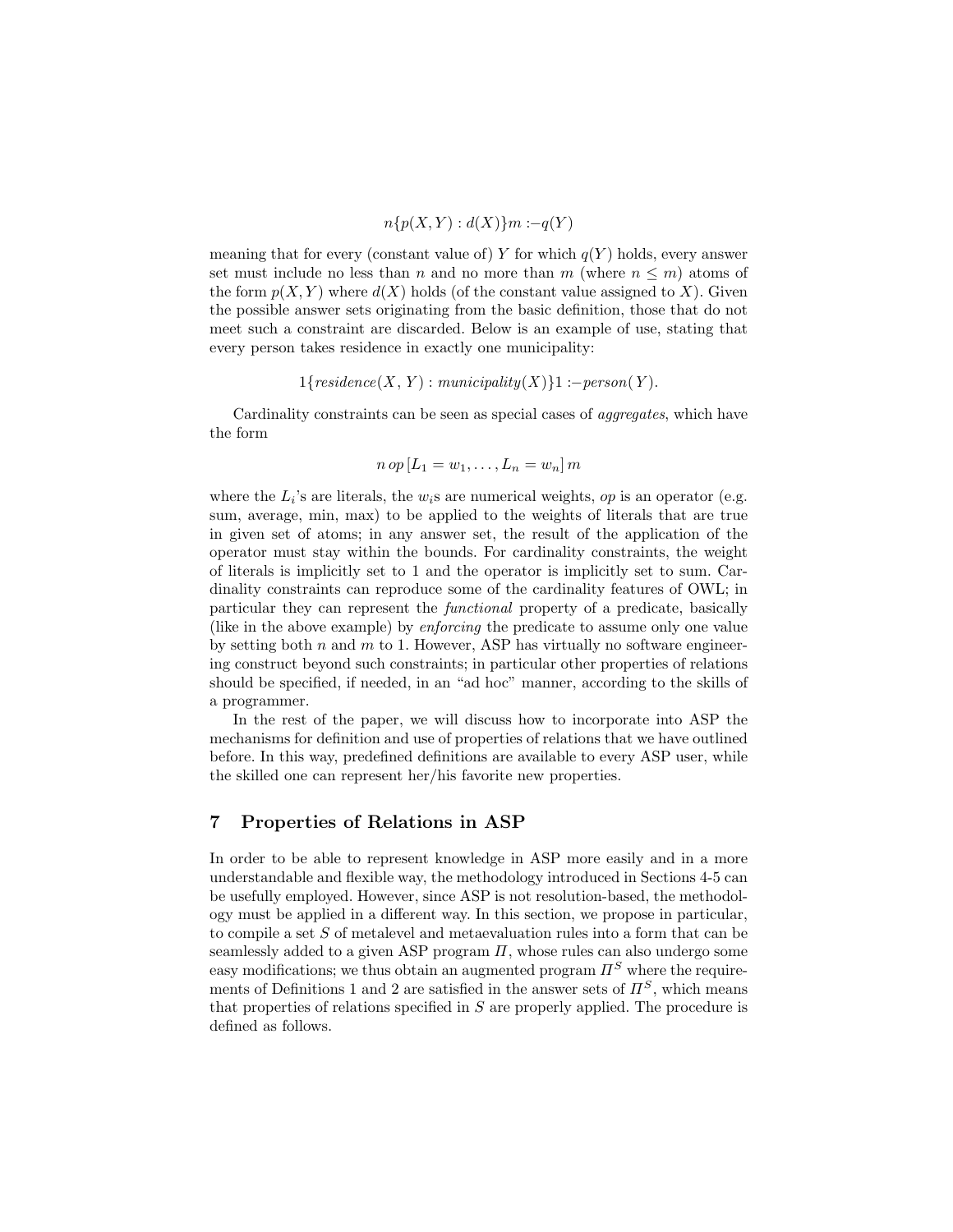$$
n\{p(X,Y):d(X)\}m:-q(Y)
$$

meaning that for every (constant value of) Y for which  $q(Y)$  holds, every answer set must include no less than n and no more than m (where  $n \leq m$ ) atoms of the form  $p(X, Y)$  where  $d(X)$  holds (of the constant value assigned to X). Given the possible answer sets originating from the basic definition, those that do not meet such a constraint are discarded. Below is an example of use, stating that every person takes residence in exactly one municipality:

$$
1{residence(X, Y) : municipality(X)}1 :- person(Y).
$$

Cardinality constraints can be seen as special cases of aggregates, which have the form

$$
n op [L_1 = w_1, \ldots, L_n = w_n] m
$$

where the  $L_i$ 's are literals, the  $w_i$ s are numerical weights, op is an operator (e.g. sum, average, min, max) to be applied to the weights of literals that are true in given set of atoms; in any answer set, the result of the application of the operator must stay within the bounds. For cardinality constraints, the weight of literals is implicitly set to 1 and the operator is implicitly set to sum. Cardinality constraints can reproduce some of the cardinality features of OWL; in particular they can represent the functional property of a predicate, basically (like in the above example) by enforcing the predicate to assume only one value by setting both  $n$  and  $m$  to 1. However, ASP has virtually no software engineering construct beyond such constraints; in particular other properties of relations should be specified, if needed, in an "ad hoc" manner, according to the skills of a programmer.

In the rest of the paper, we will discuss how to incorporate into ASP the mechanisms for definition and use of properties of relations that we have outlined before. In this way, predefined definitions are available to every ASP user, while the skilled one can represent her/his favorite new properties.

# 7 Properties of Relations in ASP

In order to be able to represent knowledge in ASP more easily and in a more understandable and flexible way, the methodology introduced in Sections 4-5 can be usefully employed. However, since ASP is not resolution-based, the methodology must be applied in a different way. In this section, we propose in particular, to compile a set S of metalevel and metaevaluation rules into a form that can be seamlessly added to a given ASP program  $\Pi$ , whose rules can also undergo some easy modifications; we thus obtain an augmented program  $\Pi^S$  where the requirements of Definitions 1 and 2 are satisfied in the answer sets of  $\Pi^S$ , which means that properties of relations specified in S are properly applied. The procedure is defined as follows.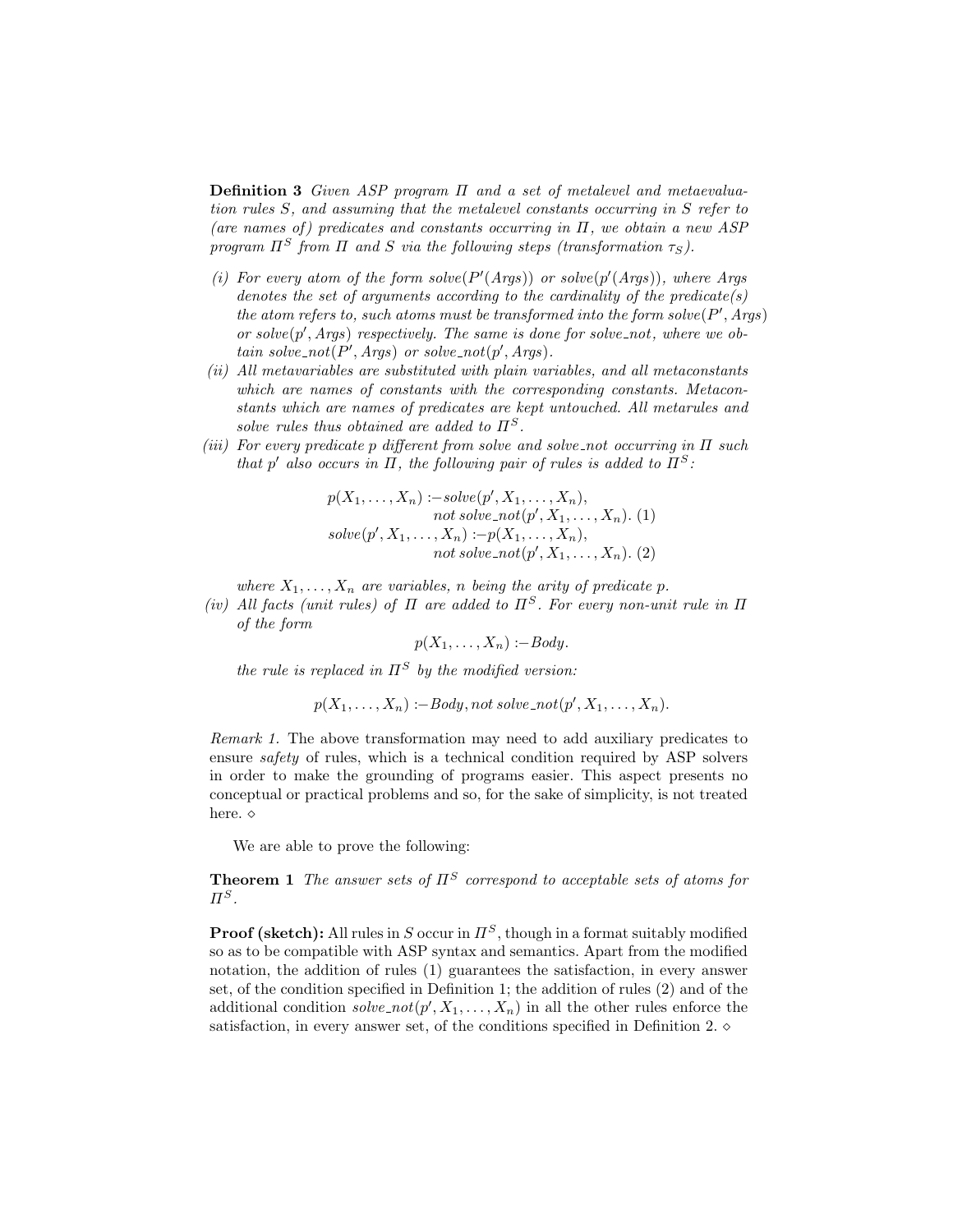Definition 3 Given ASP program Π and a set of metalevel and metaevaluation rules S, and assuming that the metalevel constants occurring in S refer to (are names of) predicates and constants occurring in  $\Pi$ , we obtain a new ASP program  $\Pi^S$  from  $\Pi$  and  $S$  via the following steps (transformation  $\tau_S$ ).

- (i) For every atom of the form solve  $(P'(Args))$  or solve  $(p'(Args))$ , where Args denotes the set of arguments according to the cardinality of the predicate(s) the atom refers to, such atoms must be transformed into the form solve  $(P', Args)$ or solve $(p', Args)$  respectively. The same is done for solve\_not, where we obtain solve\_not( $P', Args$ ) or solve\_not( $p', Args$ ).
- (ii) All metavariables are substituted with plain variables, and all metaconstants which are names of constants with the corresponding constants. Metaconstants which are names of predicates are kept untouched. All metarules and solve rules thus obtained are added to  $\Pi^S$ .
- (iii) For every predicate p different from solve and solve-not occurring in  $\Pi$  such that p' also occurs in  $\Pi$ , the following pair of rules is added to  $\Pi^S$ :

$$
p(X_1, \ldots, X_n) := solve(p', X_1, \ldots, X_n),
$$
  
\n*not solve*<sub>-not</sub> $(p', X_1, \ldots, X_n) \cdot (1)$   
\n*solve*<sub>-not</sub> $(p', X_1, \ldots, X_n)$   
\n*not solve*<sub>-not</sub> $(p', X_1, \ldots, X_n) \cdot (2)$ 

where  $X_1, \ldots, X_n$  are variables, n being the arity of predicate p.

(iv) All facts (unit rules) of  $\Pi$  are added to  $\Pi^S$ . For every non-unit rule in  $\Pi$ of the form

$$
p(X_1,\ldots,X_n):=Body.
$$

the rule is replaced in  $\Pi^S$  by the modified version:

$$
p(X_1, \ldots, X_n) := Body, not\ solve\_not(p', X_1, \ldots, X_n).
$$

Remark 1. The above transformation may need to add auxiliary predicates to ensure safety of rules, which is a technical condition required by ASP solvers in order to make the grounding of programs easier. This aspect presents no conceptual or practical problems and so, for the sake of simplicity, is not treated here.  $\diamond$ 

We are able to prove the following:

**Theorem 1** The answer sets of  $\Pi^S$  correspond to acceptable sets of atoms for  $\Pi^S$ .

**Proof (sketch):** All rules in S occur in  $\Pi^S$ , though in a format suitably modified so as to be compatible with ASP syntax and semantics. Apart from the modified notation, the addition of rules (1) guarantees the satisfaction, in every answer set, of the condition specified in Definition 1; the addition of rules (2) and of the additional condition  $solve\_not(p', X_1, \ldots, X_n)$  in all the other rules enforce the satisfaction, in every answer set, of the conditions specified in Definition 2.  $\diamond$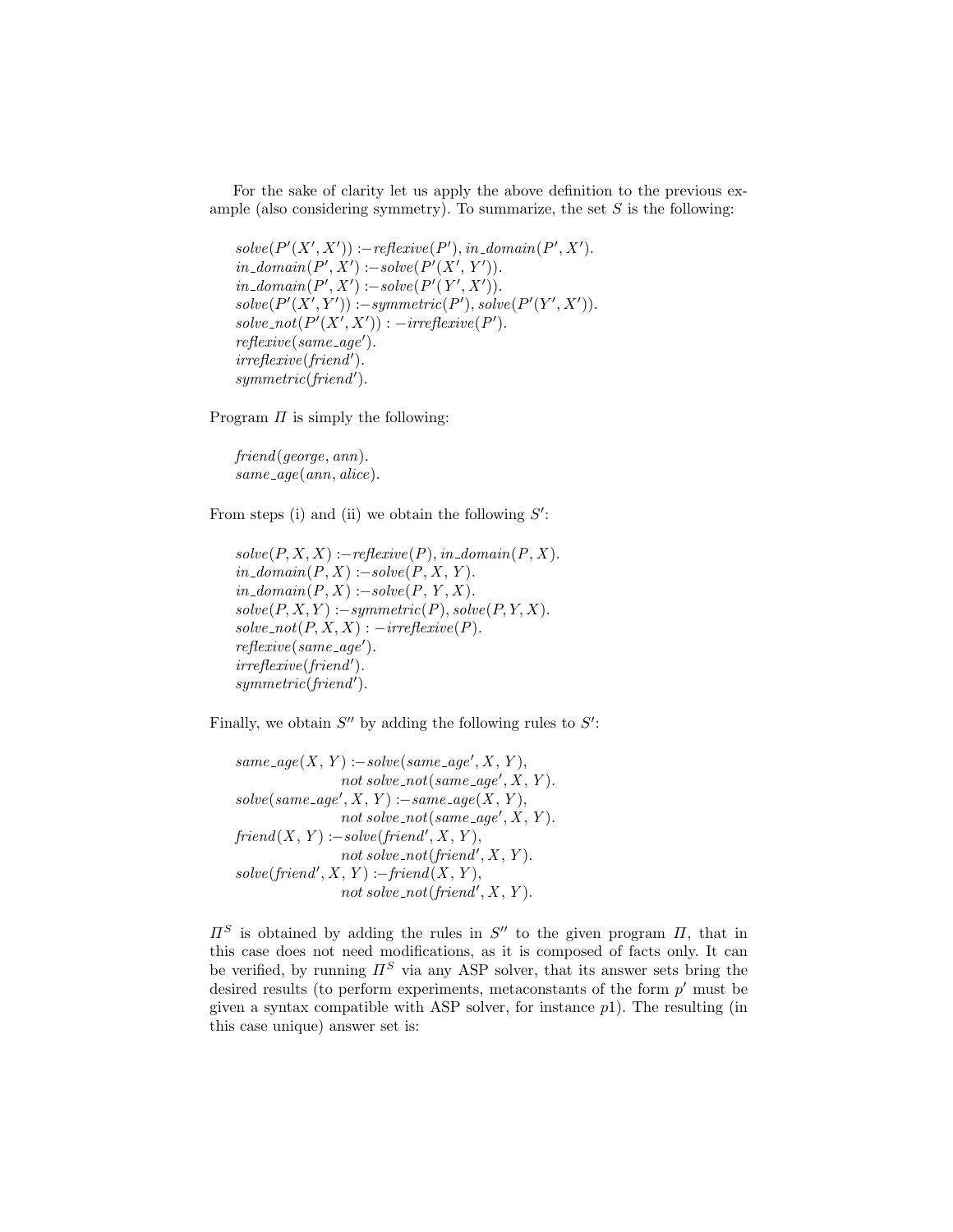For the sake of clarity let us apply the above definition to the previous example (also considering symmetry). To summarize, the set  $S$  is the following:

```
solve(P'(X', X')) := reflexive(P'), in\_domain(P', X').in\_domain(P', X') := solve(P'(X', Y')).in\_domain(P', X') := solve(P'(Y', X')).solve(P'(X', Y')) := symmetric(P'), solve(P'(Y', X')).solve\_not(P'(X', X')): -irreflexive(P').
reflexive(same\_\_age').irreflexive(friend').symmetric(friend').
```
Program  $\Pi$  is simply the following:

friend(george, ann).  $same\_age(ann,alice).$ 

From steps (i) and (ii) we obtain the following  $S'$ :

 $solve(P, X, X) := reflexive(P), in\_domain(P, X).$  $in\_domain(P, X) := solve(P, X, Y).$  $in\_domain(P, X) :- solve(P, Y, X).$  $solve(P, X, Y) := symmetric(P), solve(P, Y, X).$  $solve\_not(P, X, X) : -irreflexive(P).$  $reflexive(same\_\_age').$  $irreflexive(friend').$  $symmetric(friend').$ 

Finally, we obtain  $S''$  by adding the following rules to  $S'$ :

```
same\_age(X, Y) :- solve(same\_age', X, Y),not \; solve\_not(same\_age', X, Y).solve(same\_\_ge', X, Y) := same\_\_ge(X, Y),not \; solve\_not(same\_age', X, Y).friend(X, Y) :- solve(friend', X, Y),not solve_not(friend', X, Y).
solve(friend', X, Y) := friend(X, Y),not solve_not(friend', X, Y).
```
 $\Pi^S$  is obtained by adding the rules in  $S''$  to the given program  $\Pi$ , that in this case does not need modifications, as it is composed of facts only. It can be verified, by running  $\Pi^S$  via any ASP solver, that its answer sets bring the desired results (to perform experiments, metaconstants of the form  $p'$  must be given a syntax compatible with ASP solver, for instance  $p_1$ ). The resulting (in this case unique) answer set is: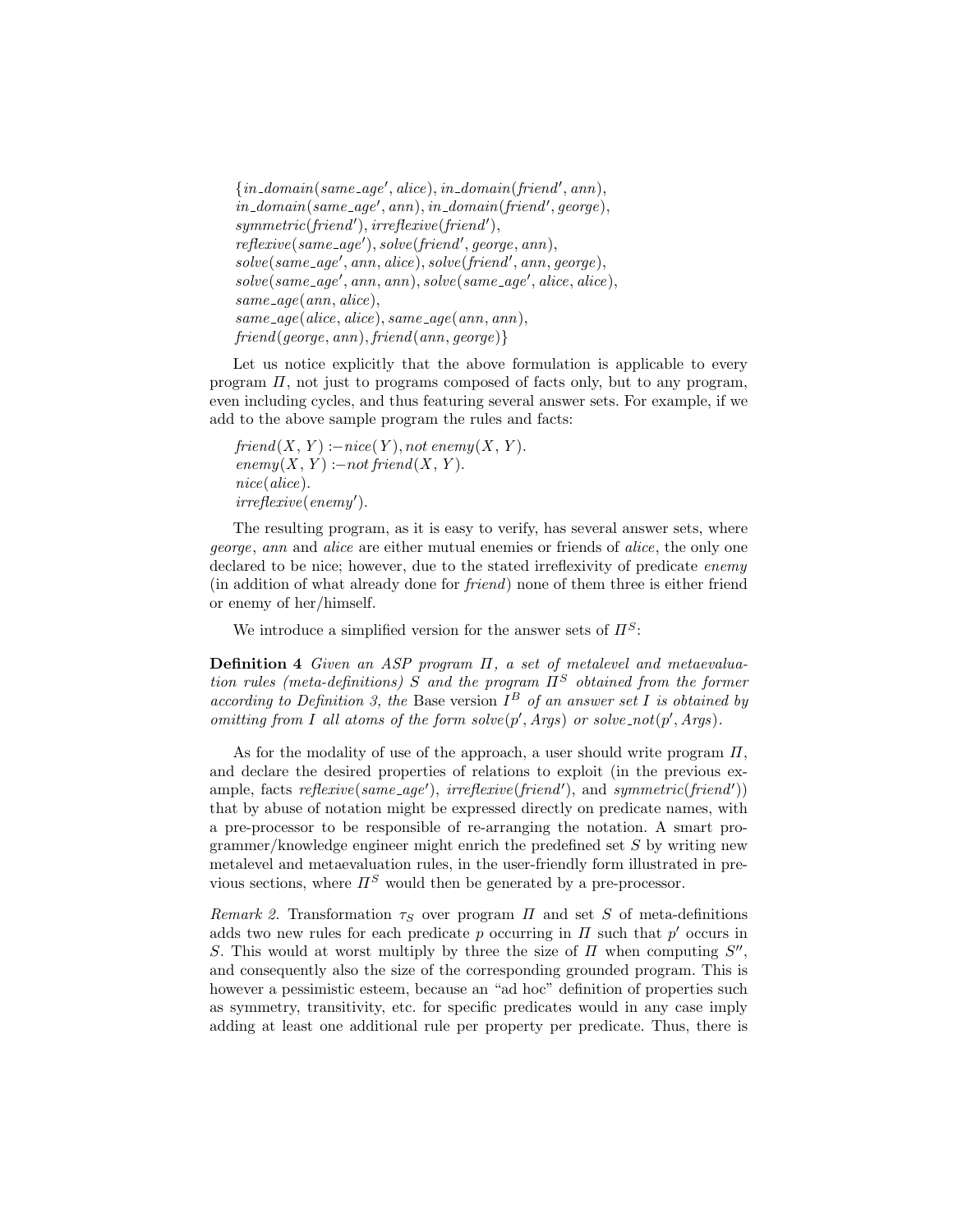```
\{in\_domain(same\_age',alice), in\_domain(friend', ann),\}in\_domain(same\_age', ann), in\_domain(friend', george),symmetric(friend'), irreflexive(friend'),reflexive(same\_\_age'), solve(friend', george, ann),solve(same\_age', ann, alive), solve(friend', ann, george),solve(same\_age', ann, ann), solve(same\_age',alice,alice),same\_age(ann,alice),same\_age(alice,alice), same\_age(ann, ann),
friend(george, ann), friend(ann, george)}
```
Let us notice explicitly that the above formulation is applicable to every program  $\Pi$ , not just to programs composed of facts only, but to any program, even including cycles, and thus featuring several answer sets. For example, if we add to the above sample program the rules and facts:

```
friend(X, Y) := nice(Y), not\ enemy(X, Y).enemy(X, Y) :- not friend(X, Y).nice(alice).
irreflexive(enemy').
```
The resulting program, as it is easy to verify, has several answer sets, where george, ann and alice are either mutual enemies or friends of alice, the only one declared to be nice; however, due to the stated irreflexivity of predicate *enemy* (in addition of what already done for friend) none of them three is either friend or enemy of her/himself.

We introduce a simplified version for the answer sets of  $\Pi^S$ :

Definition 4 Given an ASP program  $\Pi$ , a set of metalevel and metaevaluation rules (meta-definitions) S and the program  $\Pi^S$  obtained from the former according to Definition 3, the Base version  $I^B$  of an answer set I is obtained by omitting from I all atoms of the form  $solve(p', Args)$  or  $solve\_not(p', Args)$ .

As for the modality of use of the approach, a user should write program  $\Pi$ , and declare the desired properties of relations to exploit (in the previous example, facts  $reflexive(same\_\_ge'),\ irreflexive(friend'),$  and  $symmetric(friend'))$ that by abuse of notation might be expressed directly on predicate names, with a pre-processor to be responsible of re-arranging the notation. A smart programmer/knowledge engineer might enrich the predefined set  $S$  by writing new metalevel and metaevaluation rules, in the user-friendly form illustrated in previous sections, where  $\Pi^S$  would then be generated by a pre-processor.

Remark 2. Transformation  $\tau_S$  over program  $\Pi$  and set S of meta-definitions adds two new rules for each predicate  $p$  occurring in  $\Pi$  such that  $p'$  occurs in S. This would at worst multiply by three the size of  $\Pi$  when computing  $S''$ , and consequently also the size of the corresponding grounded program. This is however a pessimistic esteem, because an "ad hoc" definition of properties such as symmetry, transitivity, etc. for specific predicates would in any case imply adding at least one additional rule per property per predicate. Thus, there is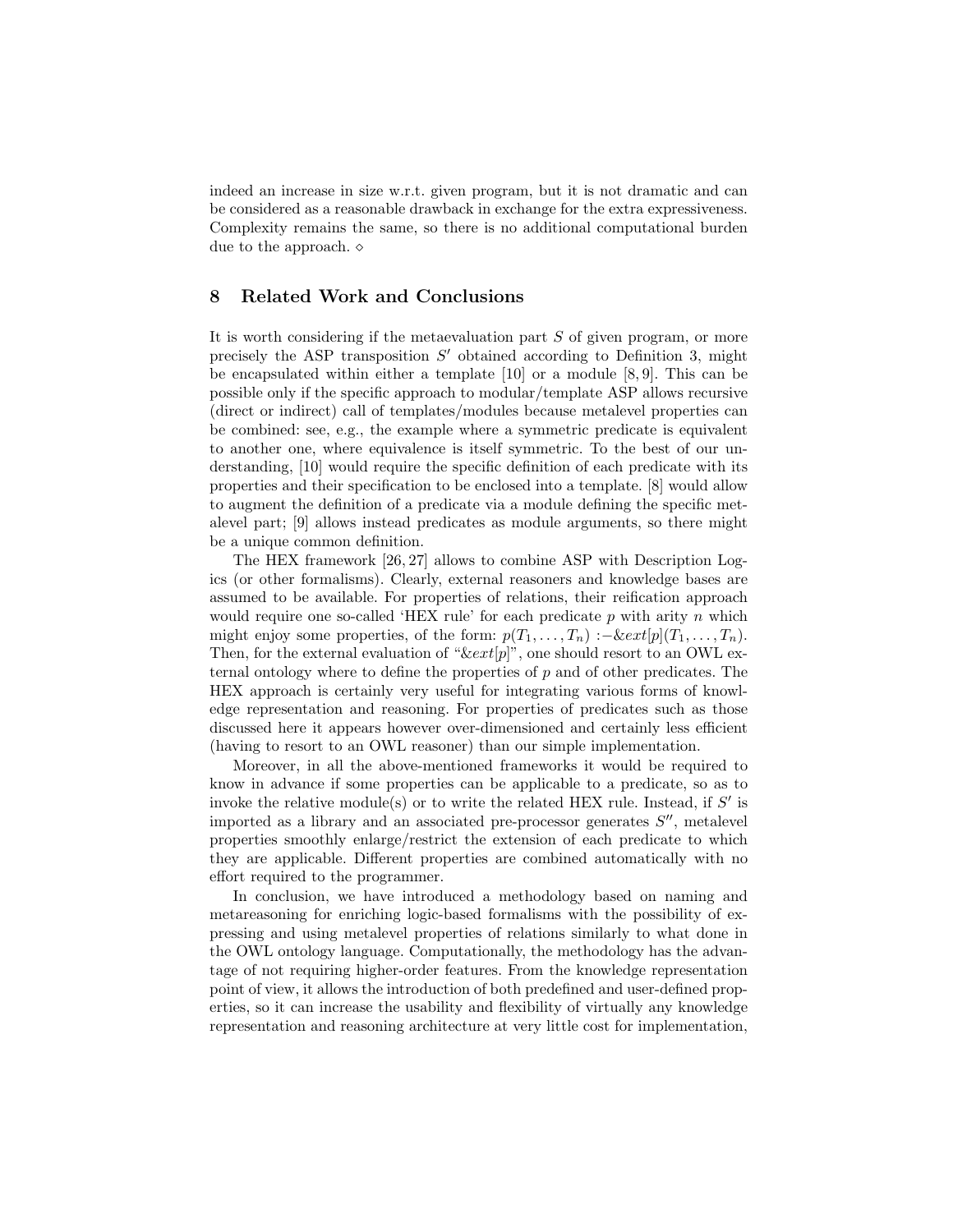indeed an increase in size w.r.t. given program, but it is not dramatic and can be considered as a reasonable drawback in exchange for the extra expressiveness. Complexity remains the same, so there is no additional computational burden due to the approach.  $\diamond$ 

# 8 Related Work and Conclusions

It is worth considering if the metaevaluation part  $S$  of given program, or more precisely the ASP transposition  $S'$  obtained according to Definition 3, might be encapsulated within either a template [10] or a module [8, 9]. This can be possible only if the specific approach to modular/template ASP allows recursive (direct or indirect) call of templates/modules because metalevel properties can be combined: see, e.g., the example where a symmetric predicate is equivalent to another one, where equivalence is itself symmetric. To the best of our understanding, [10] would require the specific definition of each predicate with its properties and their specification to be enclosed into a template. [8] would allow to augment the definition of a predicate via a module defining the specific metalevel part; [9] allows instead predicates as module arguments, so there might be a unique common definition.

The HEX framework [26, 27] allows to combine ASP with Description Logics (or other formalisms). Clearly, external reasoners and knowledge bases are assumed to be available. For properties of relations, their reification approach would require one so-called 'HEX rule' for each predicate  $p$  with arity  $n$  which might enjoy some properties, of the form:  $p(T_1, \ldots, T_n) : -\&ext[p](T_1, \ldots, T_n)$ . Then, for the external evaluation of " $\&ext[p]$ ", one should resort to an OWL external ontology where to define the properties of p and of other predicates. The HEX approach is certainly very useful for integrating various forms of knowledge representation and reasoning. For properties of predicates such as those discussed here it appears however over-dimensioned and certainly less efficient (having to resort to an OWL reasoner) than our simple implementation.

Moreover, in all the above-mentioned frameworks it would be required to know in advance if some properties can be applicable to a predicate, so as to invoke the relative module(s) or to write the related HEX rule. Instead, if  $S'$  is imported as a library and an associated pre-processor generates  $S''$ , metalevel properties smoothly enlarge/restrict the extension of each predicate to which they are applicable. Different properties are combined automatically with no effort required to the programmer.

In conclusion, we have introduced a methodology based on naming and metareasoning for enriching logic-based formalisms with the possibility of expressing and using metalevel properties of relations similarly to what done in the OWL ontology language. Computationally, the methodology has the advantage of not requiring higher-order features. From the knowledge representation point of view, it allows the introduction of both predefined and user-defined properties, so it can increase the usability and flexibility of virtually any knowledge representation and reasoning architecture at very little cost for implementation,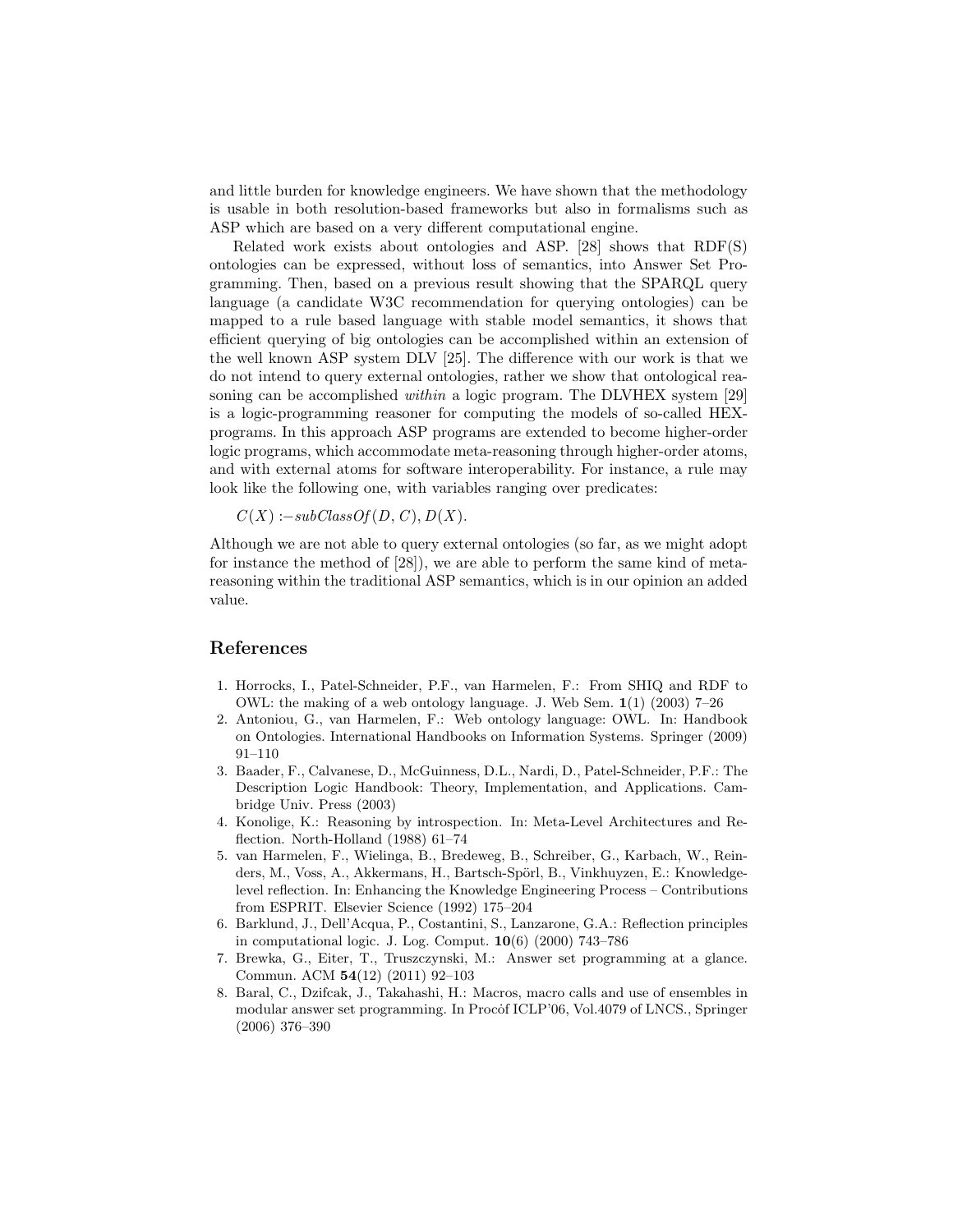and little burden for knowledge engineers. We have shown that the methodology is usable in both resolution-based frameworks but also in formalisms such as ASP which are based on a very different computational engine.

Related work exists about ontologies and ASP. [28] shows that RDF(S) ontologies can be expressed, without loss of semantics, into Answer Set Programming. Then, based on a previous result showing that the SPARQL query language (a candidate W3C recommendation for querying ontologies) can be mapped to a rule based language with stable model semantics, it shows that efficient querying of big ontologies can be accomplished within an extension of the well known ASP system DLV [25]. The difference with our work is that we do not intend to query external ontologies, rather we show that ontological reasoning can be accomplished *within* a logic program. The DLVHEX system [29] is a logic-programming reasoner for computing the models of so-called HEXprograms. In this approach ASP programs are extended to become higher-order logic programs, which accommodate meta-reasoning through higher-order atoms, and with external atoms for software interoperability. For instance, a rule may look like the following one, with variables ranging over predicates:

 $C(X) := subClassOf(D, C), D(X).$ 

Although we are not able to query external ontologies (so far, as we might adopt for instance the method of [28]), we are able to perform the same kind of metareasoning within the traditional ASP semantics, which is in our opinion an added value.

#### References

- 1. Horrocks, I., Patel-Schneider, P.F., van Harmelen, F.: From SHIQ and RDF to OWL: the making of a web ontology language. J. Web Sem. 1(1) (2003) 7–26
- 2. Antoniou, G., van Harmelen, F.: Web ontology language: OWL. In: Handbook on Ontologies. International Handbooks on Information Systems. Springer (2009) 91–110
- 3. Baader, F., Calvanese, D., McGuinness, D.L., Nardi, D., Patel-Schneider, P.F.: The Description Logic Handbook: Theory, Implementation, and Applications. Cambridge Univ. Press (2003)
- 4. Konolige, K.: Reasoning by introspection. In: Meta-Level Architectures and Reflection. North-Holland (1988) 61–74
- 5. van Harmelen, F., Wielinga, B., Bredeweg, B., Schreiber, G., Karbach, W., Reinders, M., Voss, A., Akkermans, H., Bartsch-Spörl, B., Vinkhuyzen, E.: Knowledgelevel reflection. In: Enhancing the Knowledge Engineering Process – Contributions from ESPRIT. Elsevier Science (1992) 175–204
- 6. Barklund, J., Dell'Acqua, P., Costantini, S., Lanzarone, G.A.: Reflection principles in computational logic. J. Log. Comput. 10(6) (2000) 743–786
- 7. Brewka, G., Eiter, T., Truszczynski, M.: Answer set programming at a glance. Commun. ACM 54(12) (2011) 92–103
- 8. Baral, C., Dzifcak, J., Takahashi, H.: Macros, macro calls and use of ensembles in modular answer set programming. In Procof ICLP'06, Vol.4079 of LNCS., Springer (2006) 376–390